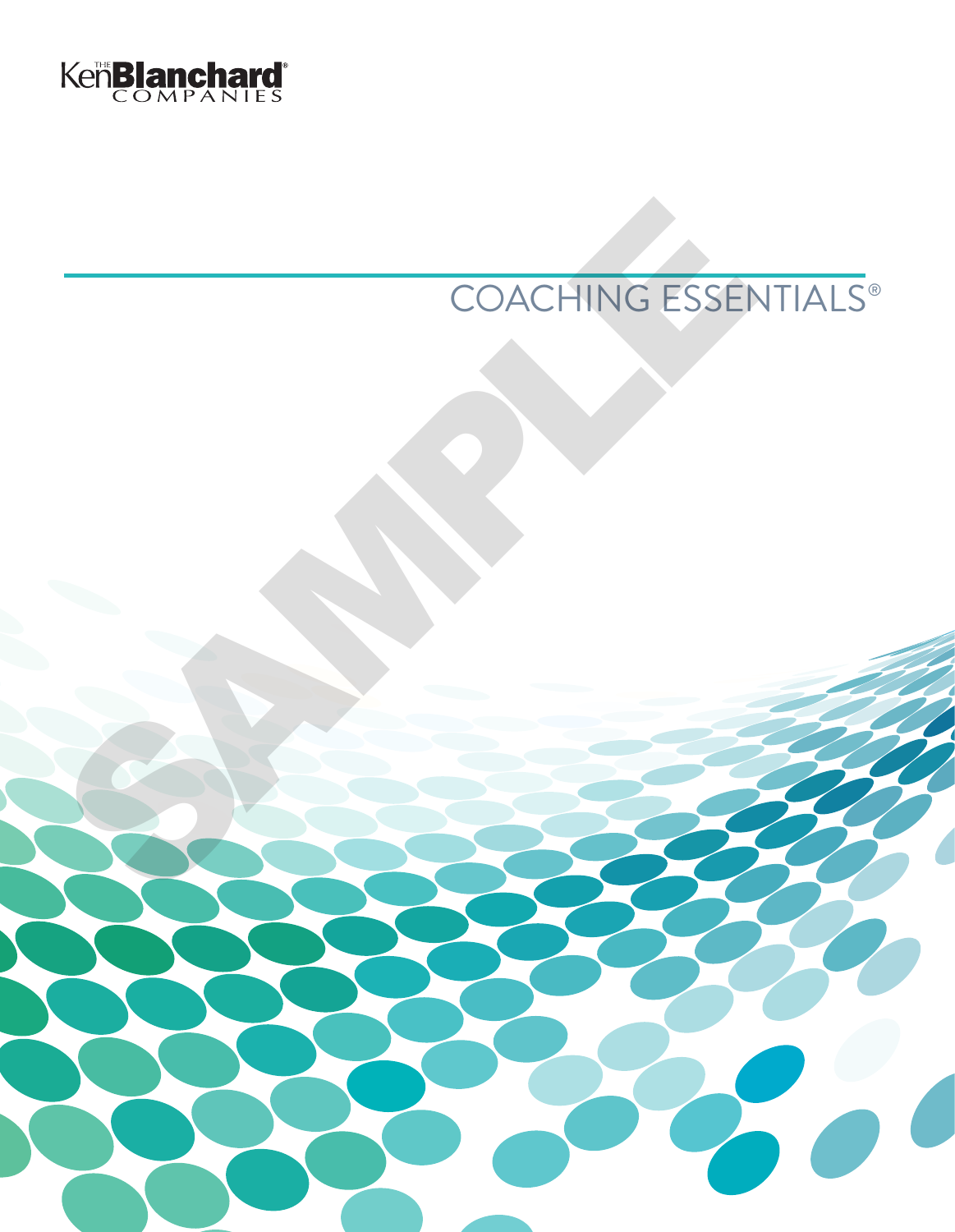

# COACHING ESSENTIALS® COACHING ESSEN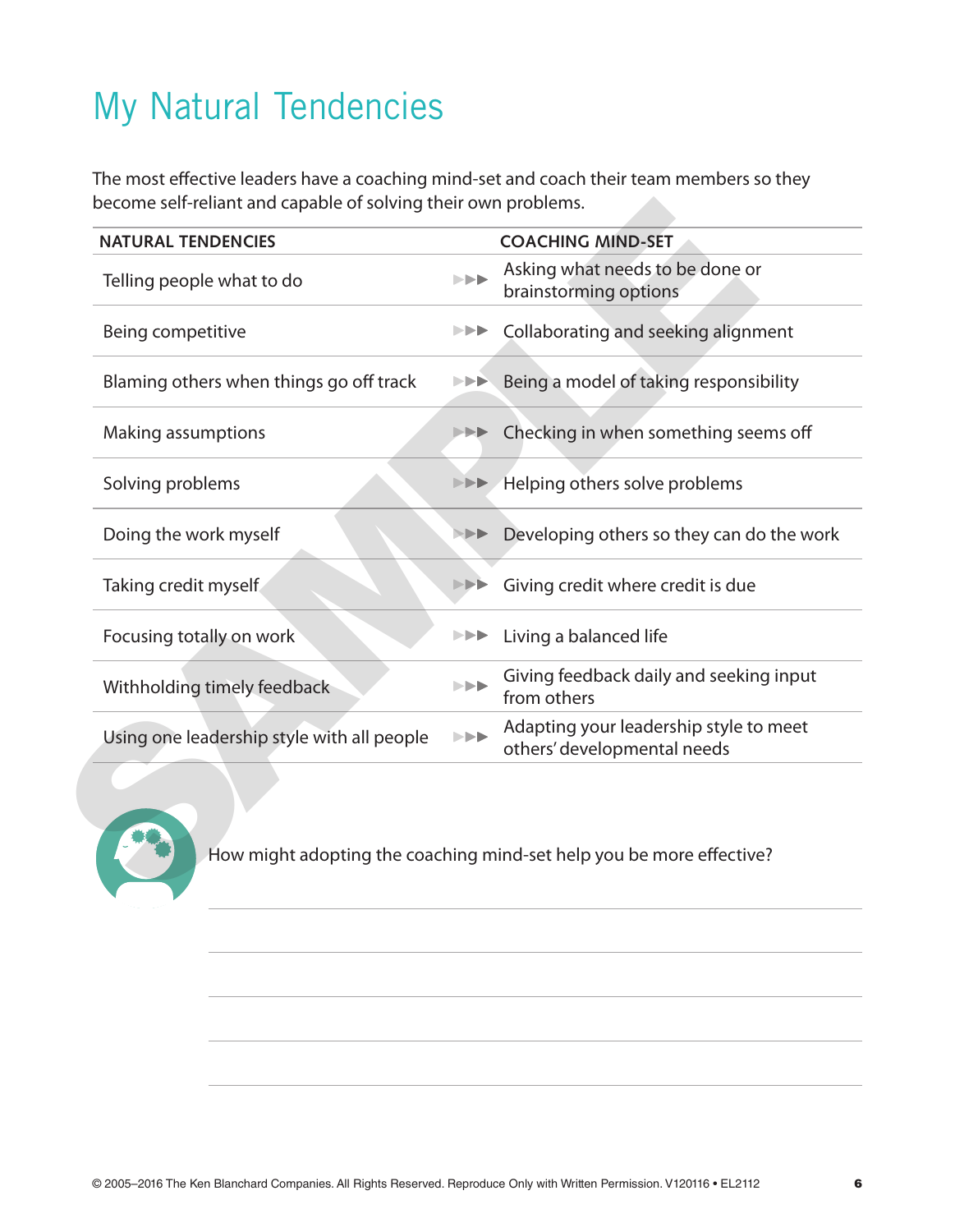## My Natural Tendencies

The most effective leaders have a coaching mind-set and coach their team members so they become self-reliant and capable of solving their own problems.

| <b>NATURAL TENDENCIES</b>                  |                                                               | <b>COACHING MIND-SET</b>                                              |
|--------------------------------------------|---------------------------------------------------------------|-----------------------------------------------------------------------|
| Telling people what to do                  | $\blacktriangleright$                                         | Asking what needs to be done or<br>brainstorming options              |
| Being competitive                          | ▶▶▶                                                           | Collaborating and seeking alignment                                   |
| Blaming others when things go off track    | ▶▶▶                                                           | Being a model of taking responsibility                                |
| Making assumptions                         |                                                               | Checking in when something seems off                                  |
| Solving problems                           |                                                               | <b>EDE</b> Helping others solve problems                              |
| Doing the work myself                      | $>$ $>$ $>$ $>$                                               | Developing others so they can do the work                             |
| Taking credit myself                       |                                                               | Giving credit where credit is due                                     |
| Focusing totally on work                   | ▶▶▶                                                           | Living a balanced life                                                |
| Withholding timely feedback                | $\left\  \cdot \right\  \geq \frac{1}{2}$                     | Giving feedback daily and seeking input<br>from others                |
| Using one leadership style with all people | $\blacktriangleright \blacktriangleright \blacktriangleright$ | Adapting your leadership style to meet<br>others' developmental needs |
|                                            |                                                               | How might adopting the coaching mind-set help you be more effective?  |

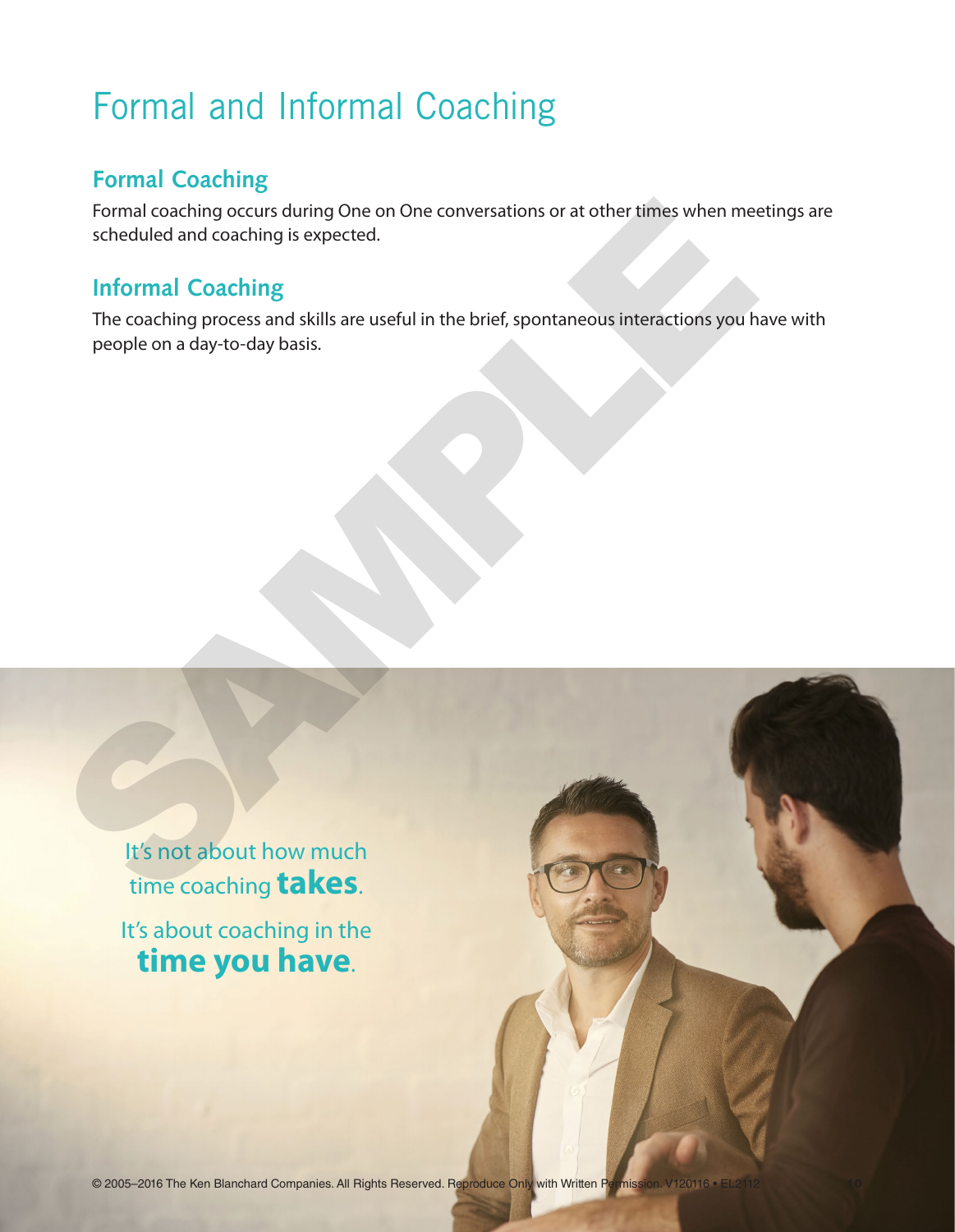## Formal and Informal Coaching

#### **Formal Coaching**

Formal coaching occurs during One on One conversations or at other times when meetings are scheduled and coaching is expected.

#### **Informal Coaching**

The coaching process and skills are useful in the brief, spontaneous interactions you have with people on a day-to-day basis. Formal coaching occurs during One on One conversations or at other times when measured<br>scheduled and coaching<br>The coaching process and skills are useful in the brief, spontaneous interactions you h<br>people on a day-to-day b

It's not about how much time coaching **takes**. It's about coaching in the **time you have**.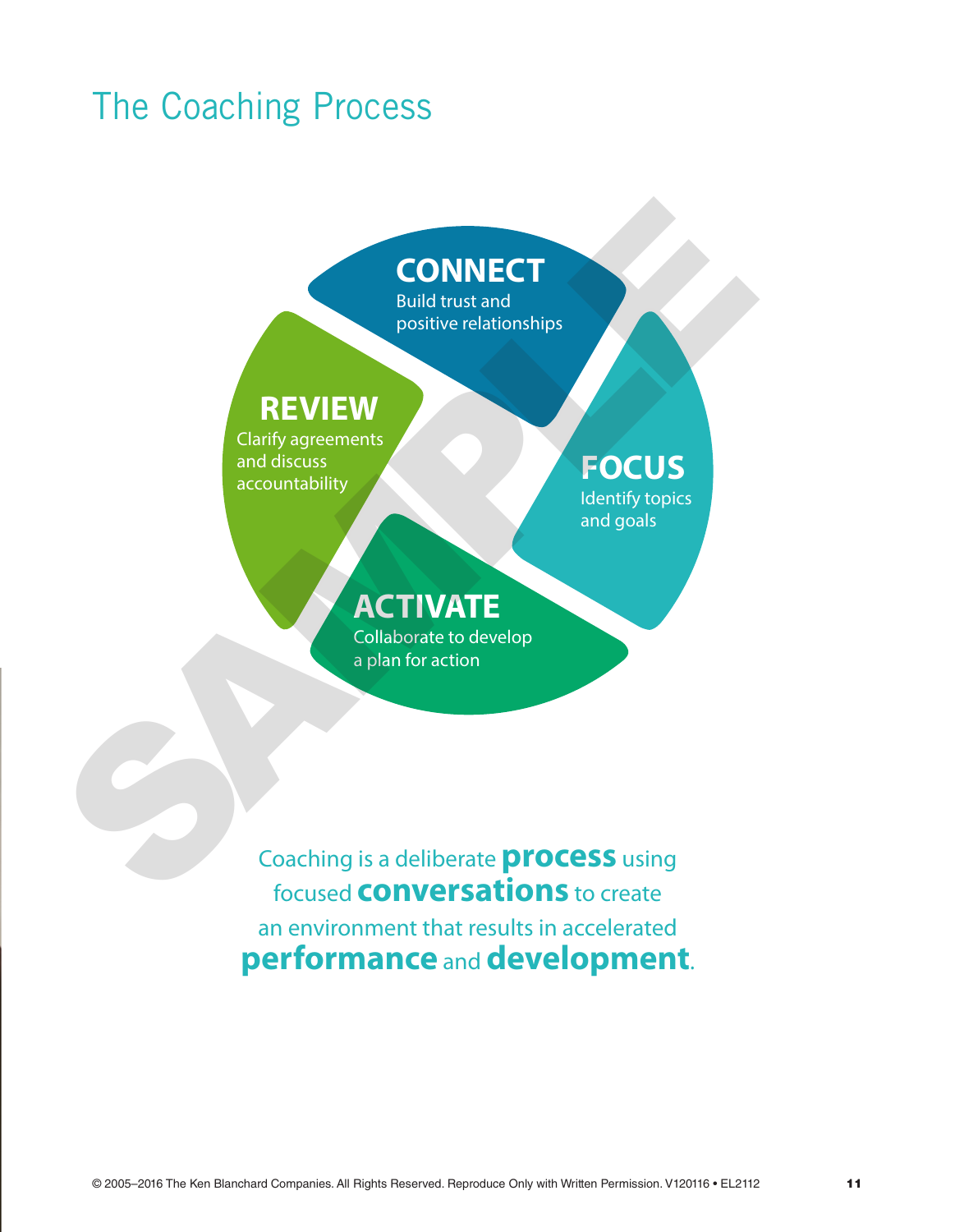## The Coaching Process

## **CONNECT**

Build trust and positive relationships

116-16U

#### **REVIEW**

Clarify agreements and discuss accountability

157-16U

## **FOCUS**

Identify topics and goals

### **ACTIVATE**

Collaborate to develop a plan for action

Coaching is a deliberate**process** using focused **conversations** to create an environment that results in accelerated **performance** and **development**. **SAMPLET**<br>
Build trust and<br>
positive relationships<br>
Clarify agreements<br>
accountability<br>
conditions<br> **ACTIVATE**<br>
Collaborate to develop<br>
a plan for action<br>
Coaching is a deliberate **process** using<br>
focused **CONVETSATION** to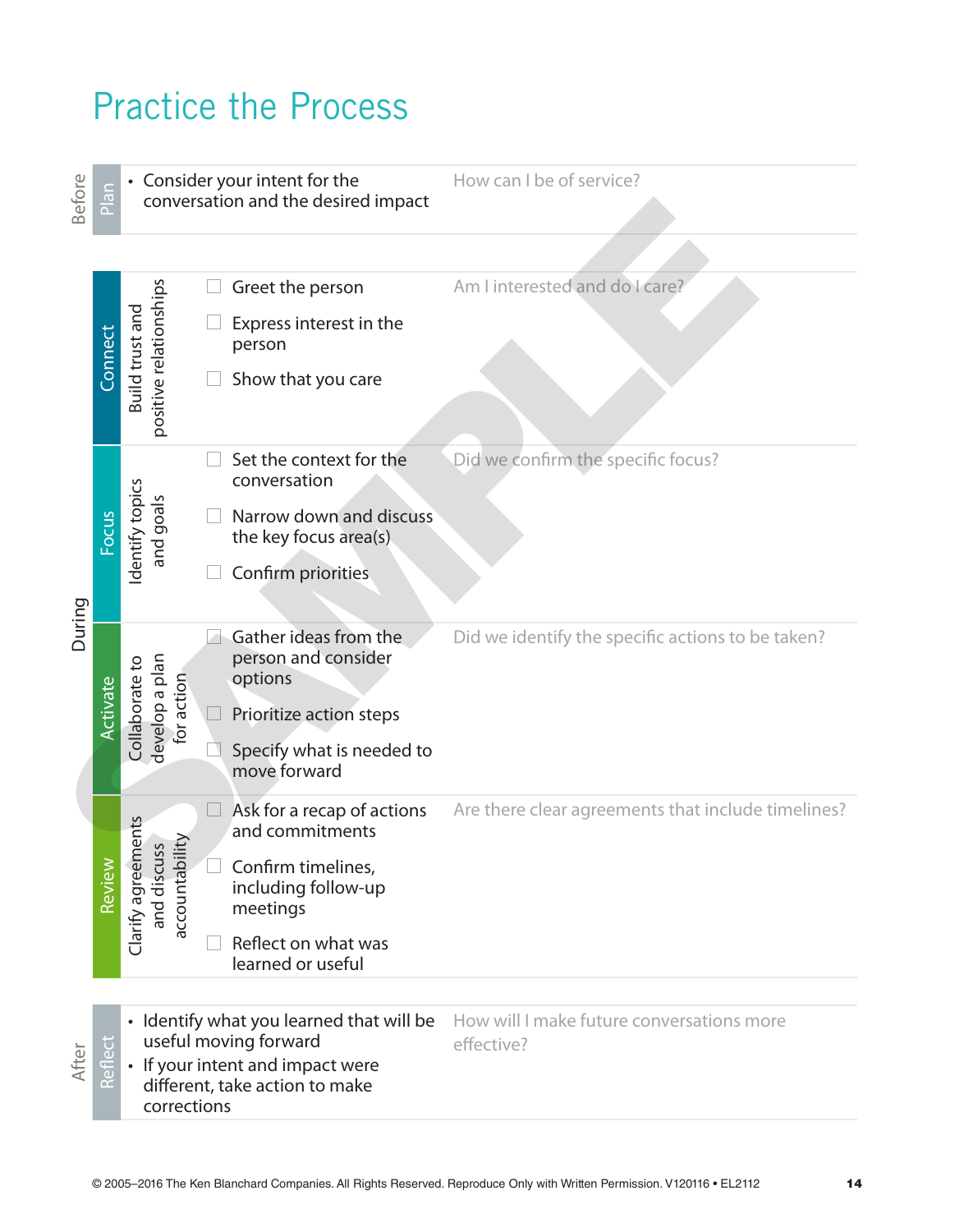## Practice the Process

Before

 $\frac{1}{2}$  • Consider your intent for the conversation and the desired impact

How can I be of service?

| Bef          | $\frac{a}{b}$<br>conversation and the desired impact |                                                                   |                                                                    |                                                         |
|--------------|------------------------------------------------------|-------------------------------------------------------------------|--------------------------------------------------------------------|---------------------------------------------------------|
|              |                                                      |                                                                   |                                                                    |                                                         |
|              |                                                      |                                                                   | Greet the person                                                   | Am I interested and do I care?                          |
|              | Connect                                              | Build trust and                                                   | Express interest in the<br>person                                  |                                                         |
|              |                                                      | positive relationships                                            | Show that you care                                                 |                                                         |
| During       |                                                      |                                                                   | Set the context for the<br>conversation                            | Did we confirm the specific focus?                      |
|              | Focus                                                | Identify topics<br>and goals                                      | Narrow down and discuss<br>the key focus area(s)                   |                                                         |
|              |                                                      |                                                                   | Confirm priorities                                                 |                                                         |
|              | Activate                                             | Collaborate to<br>develop a plan<br>for action                    | Gather ideas from the<br>person and consider<br>options            | Did we identify the specific actions to be taken?       |
|              |                                                      |                                                                   | Prioritize action steps                                            |                                                         |
|              |                                                      |                                                                   | Specify what is needed to<br>move forward                          |                                                         |
| Review       |                                                      |                                                                   | Ask for a recap of actions<br>and commitments                      | Are there clear agreements that include timelines?      |
|              |                                                      | Clarify agreements<br>accountability<br>and discuss               | Confirm timelines,<br>including follow-up<br>meetings              |                                                         |
|              |                                                      |                                                                   | Reflect on what was<br>learned or useful                           |                                                         |
|              |                                                      |                                                                   |                                                                    |                                                         |
|              | U                                                    | • Identify what you learned that will be<br>useful moving forward |                                                                    | How will I make future conversations more<br>effective? |
| <b>After</b> | $\mathbb{Q}$<br>Refl                                 | corrections                                                       | • If your intent and impact were<br>different, take action to make |                                                         |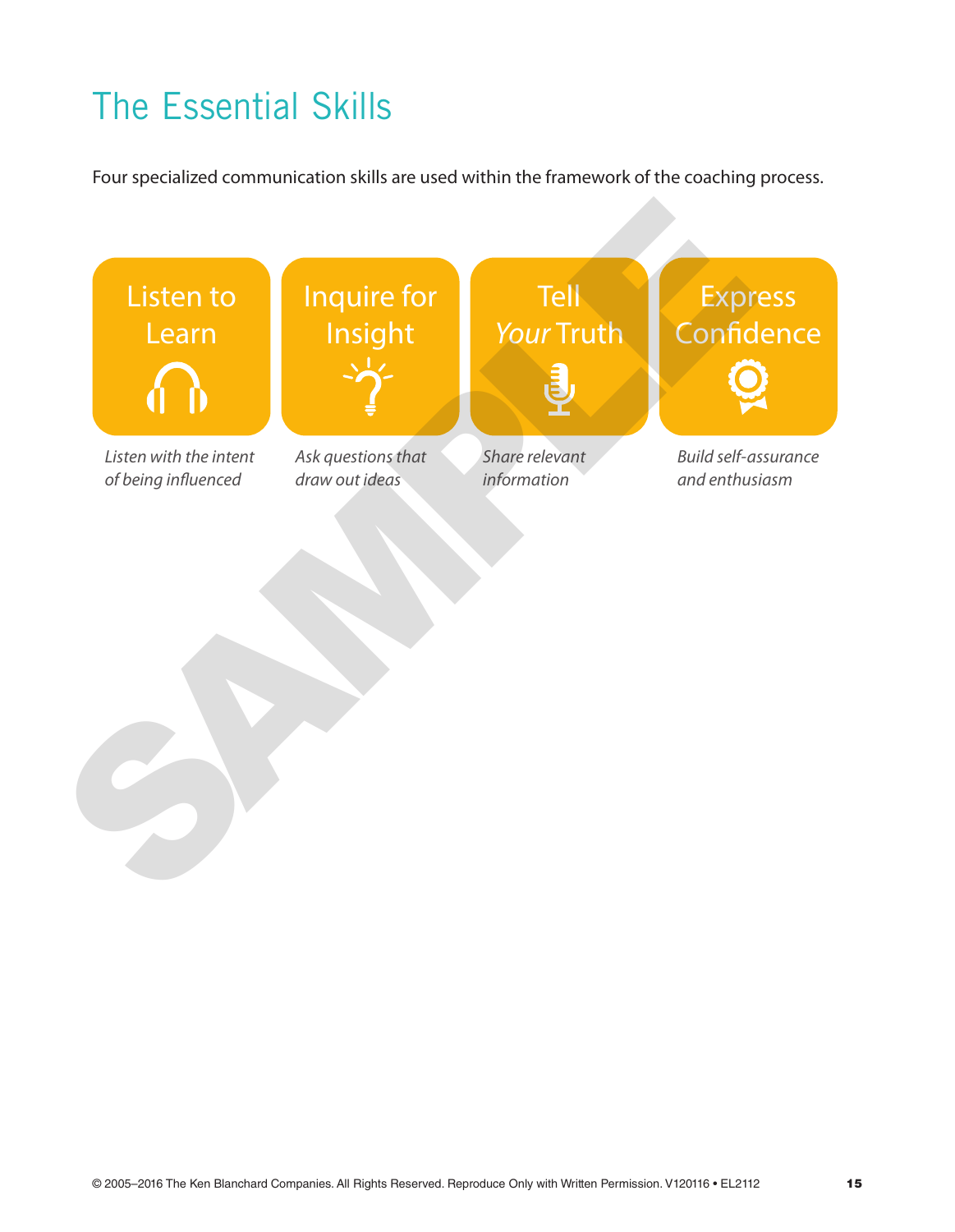# The Essential Skills

Four specialized communication skills are used within the framework of the coaching process.

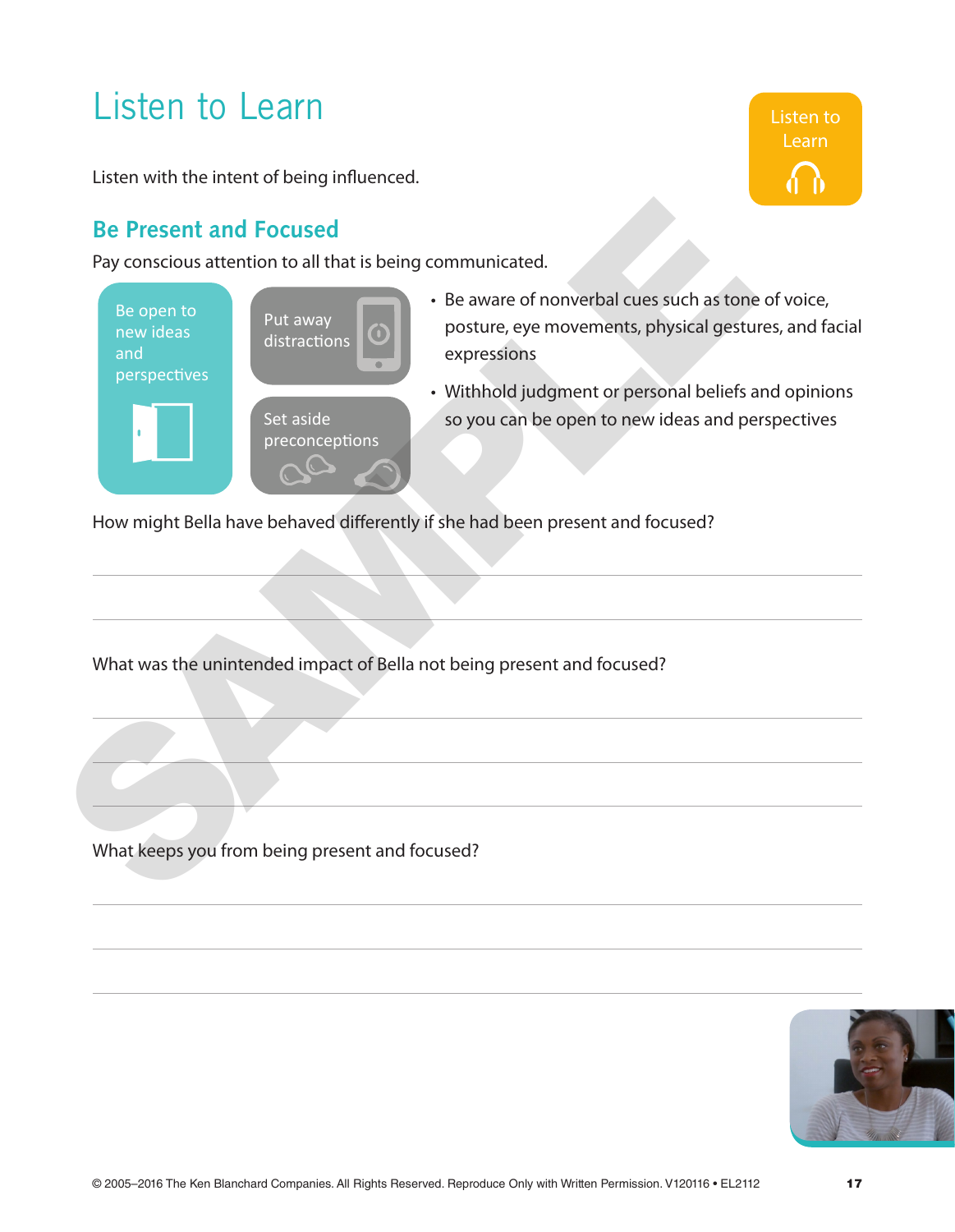## Listen to Learn

Listen with the intent of being influenced.

#### **Be Present and Focused**

Pay conscious attention to all that is being communicated.



• Be aware of nonverbal cues such as tone of voice, posture, eye movements, physical gestures, and facial expressions

Listen to Learn

• Withhold judgment or personal beliefs and opinions so you can be open to new ideas and perspectives

How might Bella have behaved differently if she had been present and focused?

What was the unintended impact of Bella not being present and focused?

What keeps you from being present and focused?

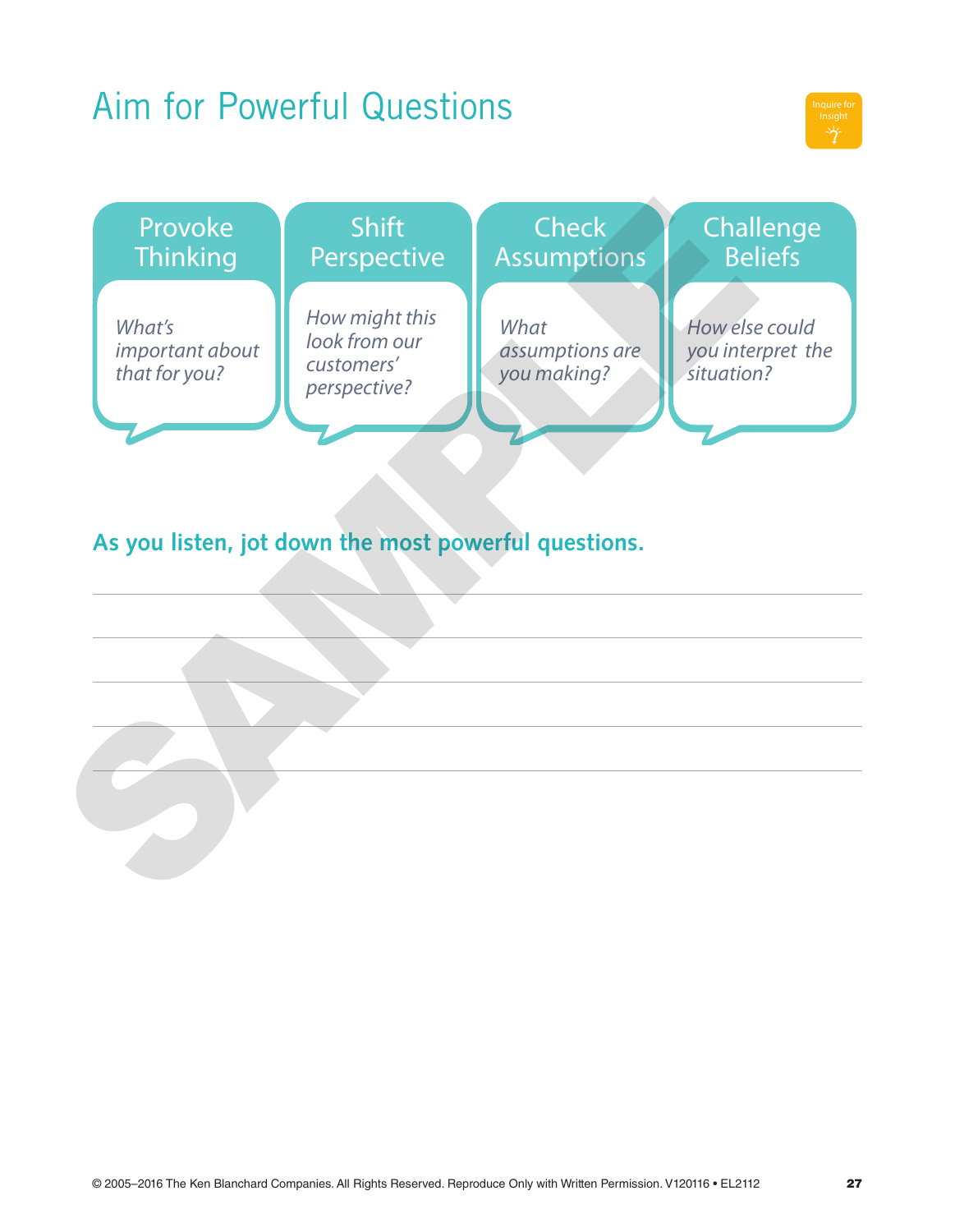## Aim for Powerful Questions



| Provoke<br><b>Thinking</b>                           | <b>Shift</b><br>Perspective                                   | <b>Check</b><br><b>Assumptions</b>     | Challenge<br><b>Beliefs</b>                       |  |  |  |  |  |
|------------------------------------------------------|---------------------------------------------------------------|----------------------------------------|---------------------------------------------------|--|--|--|--|--|
| What's<br>important about<br>that for you?           | How might this<br>look from our<br>customers'<br>perspective? | What<br>assumptions are<br>you making? | How else could<br>you interpret the<br>situation? |  |  |  |  |  |
| As you listen, jot down the most powerful questions. |                                                               |                                        |                                                   |  |  |  |  |  |
|                                                      |                                                               |                                        |                                                   |  |  |  |  |  |
|                                                      |                                                               |                                        |                                                   |  |  |  |  |  |
|                                                      |                                                               |                                        |                                                   |  |  |  |  |  |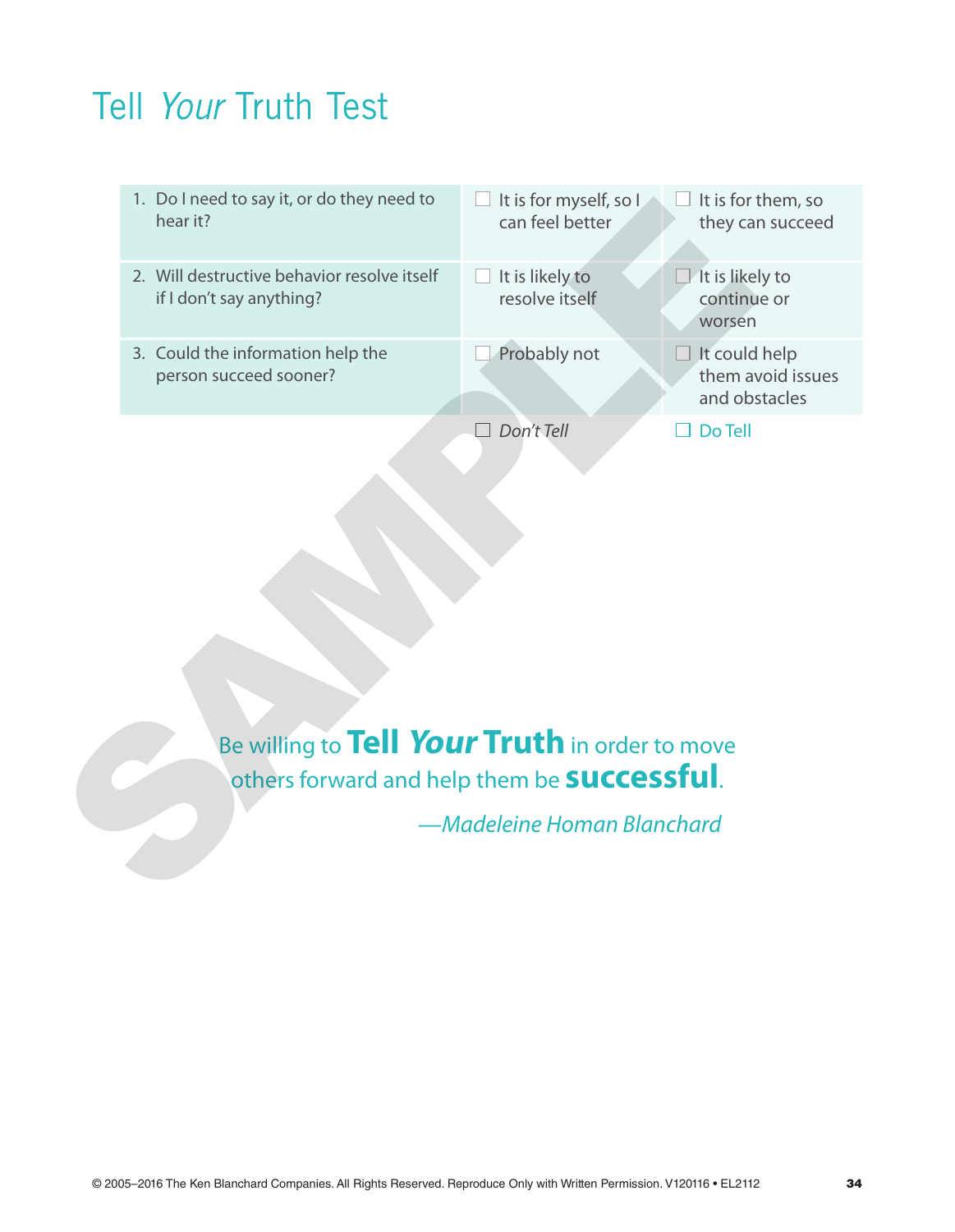## Tell *Your* Truth Test



Be willing to **Tell Your Truth** in order to move others forward and help them be **successful**.

*—Madeleine Homan Blanchard*